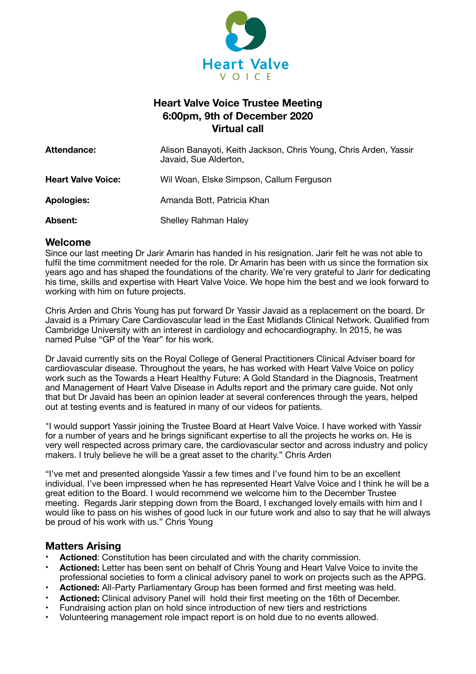

# **Heart Valve Voice Trustee Meeting 6:00pm, 9th of December 2020 Virtual call**

| Attendance:               | Alison Banayoti, Keith Jackson, Chris Young, Chris Arden, Yassir<br>Javaid, Sue Alderton, |
|---------------------------|-------------------------------------------------------------------------------------------|
| <b>Heart Valve Voice:</b> | Wil Woan, Elske Simpson, Callum Ferguson                                                  |
| <b>Apologies:</b>         | Amanda Bott, Patricia Khan                                                                |
| <b>Absent:</b>            | <b>Shelley Rahman Haley</b>                                                               |

## **Welcome**

Since our last meeting Dr Jarir Amarin has handed in his resignation. Jarir felt he was not able to fulfil the time commitment needed for the role. Dr Amarin has been with us since the formation six years ago and has shaped the foundations of the charity. We're very grateful to Jarir for dedicating his time, skills and expertise with Heart Valve Voice. We hope him the best and we look forward to working with him on future projects.

Chris Arden and Chris Young has put forward Dr Yassir Javaid as a replacement on the board. Dr Javaid is a Primary Care Cardiovascular lead in the East Midlands Clinical Network. Qualified from Cambridge University with an interest in cardiology and echocardiography. In 2015, he was named Pulse "GP of the Year" for his work.

Dr Javaid currently sits on the Royal College of General Practitioners Clinical Adviser board for cardiovascular disease. Throughout the years, he has worked with Heart Valve Voice on policy work such as the Towards a Heart Healthy Future: A Gold Standard in the Diagnosis, Treatment and Management of Heart Valve Disease in Adults report and the primary care guide. Not only that but Dr Javaid has been an opinion leader at several conferences through the years, helped out at testing events and is featured in many of our videos for patients.

"I would support Yassir joining the Trustee Board at Heart Valve Voice. I have worked with Yassir for a number of years and he brings significant expertise to all the projects he works on. He is very well respected across primary care, the cardiovascular sector and across industry and policy makers. I truly believe he will be a great asset to the charity." Chris Arden

"I've met and presented alongside Yassir a few times and I've found him to be an excellent individual. I've been impressed when he has represented Heart Valve Voice and I think he will be a great edition to the Board. I would recommend we welcome him to the December Trustee meeting. Regards Jarir stepping down from the Board, I exchanged lovely emails with him and I would like to pass on his wishes of good luck in our future work and also to say that he will always be proud of his work with us." Chris Young

## **Matters Arising**

- **Actioned**: Constitution has been circulated and with the charity commission.
- **Actioned:** Letter has been sent on behalf of Chris Young and Heart Valve Voice to invite the professional societies to form a clinical advisory panel to work on projects such as the APPG.
- **Actioned:** All-Party Parliamentary Group has been formed and first meeting was held.
- **Actioned:** Clinical advisory Panel will hold their first meeting on the 16th of December.
- Fundraising action plan on hold since introduction of new tiers and restrictions
- Volunteering management role impact report is on hold due to no events allowed.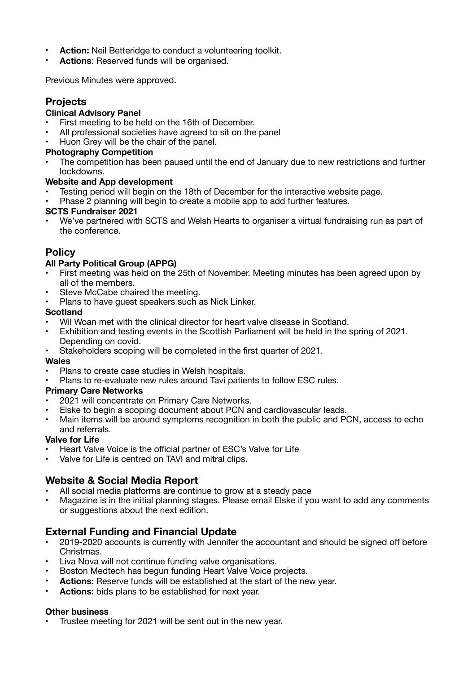- **Action:** Neil Betteridge to conduct a volunteering toolkit.
- **Actions**: Reserved funds will be organised.

Previous Minutes were approved.

## **Projects**

## **Clinical Advisory Panel**

- First meeting to be held on the 16th of December.
- All professional societies have agreed to sit on the panel
- Huon Grey will be the chair of the panel.

## **Photography Competition**

The competition has been paused until the end of January due to new restrictions and further lockdowns.

## **Website and App development**

- Testing period will begin on the 18th of December for the interactive website page.
- Phase 2 planning will begin to create a mobile app to add further features.

## **SCTS Fundraiser 2021**

• We've partnered with SCTS and Welsh Hearts to organiser a virtual fundraising run as part of the conference.

## **Policy**

## **All Party Political Group (APPG)**

- First meeting was held on the 25th of November. Meeting minutes has been agreed upon by all of the members.
- Steve McCabe chaired the meeting.
- Plans to have guest speakers such as Nick Linker.

## **Scotland**

- Wil Woan met with the clinical director for heart valve disease in Scotland.
- Exhibition and testing events in the Scottish Parliament will be held in the spring of 2021. Depending on covid.
- Stakeholders scoping will be completed in the first quarter of 2021.

## **Wales**

- Plans to create case studies in Welsh hospitals.
- Plans to re-evaluate new rules around Tavi patients to follow ESC rules.

## **Primary Care Networks**

- 2021 will concentrate on Primary Care Networks.
- Elske to begin a scoping document about PCN and cardiovascular leads.
- Main items will be around symptoms recognition in both the public and PCN, access to echo and referrals.

## **Valve for Life**

- Heart Valve Voice is the official partner of ESC's Valve for Life
- Valve for Life is centred on TAVI and mitral clips.

## **Website & Social Media Report**

- All social media platforms are continue to grow at a steady pace
- Magazine is in the initial planning stages. Please email Elske if you want to add any comments or suggestions about the next edition.

## **External Funding and Financial Update**

- 2019-2020 accounts is currently with Jennifer the accountant and should be signed off before Christmas.
- Liva Nova will not continue funding valve organisations.
- Boston Medtech has begun funding Heart Valve Voice projects.
- **Actions:** Reserve funds will be established at the start of the new year.
- Actions: bids plans to be established for next year.

## **Other business**

• Trustee meeting for 2021 will be sent out in the new year.